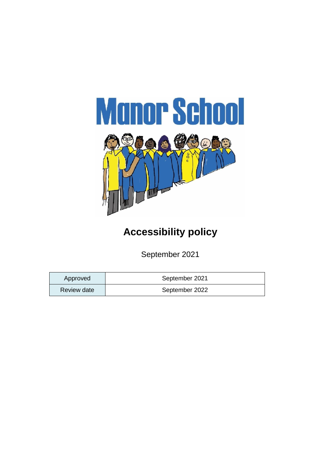

## **Accessibility policy**

September 2021

| Approved    | September 2021 |
|-------------|----------------|
| Review date | September 2022 |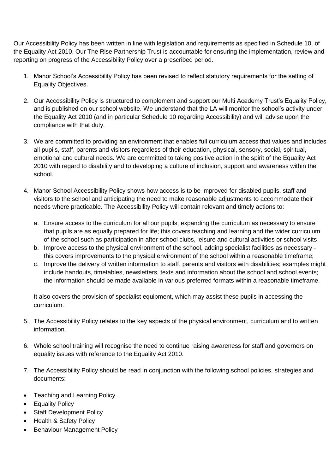Our Accessibility Policy has been written in line with legislation and requirements as specified in Schedule 10, of the Equality Act 2010. Our The Rise Partnership Trust is accountable for ensuring the implementation, review and reporting on progress of the Accessibility Policy over a prescribed period.

- 1. Manor School's Accessibility Policy has been revised to reflect statutory requirements for the setting of Equality Objectives.
- 2. Our Accessibility Policy is structured to complement and support our Multi Academy Trust's Equality Policy, and is published on our school website. We understand that the LA will monitor the school's activity under the Equality Act 2010 (and in particular Schedule 10 regarding Accessibility) and will advise upon the compliance with that duty.
- 3. We are committed to providing an environment that enables full curriculum access that values and includes all pupils, staff, parents and visitors regardless of their education, physical, sensory, social, spiritual, emotional and cultural needs. We are committed to taking positive action in the spirit of the Equality Act 2010 with regard to disability and to developing a culture of inclusion, support and awareness within the school.
- 4. Manor School Accessibility Policy shows how access is to be improved for disabled pupils, staff and visitors to the school and anticipating the need to make reasonable adjustments to accommodate their needs where practicable. The Accessibility Policy will contain relevant and timely actions to:
	- a. Ensure access to the curriculum for all our pupils, expanding the curriculum as necessary to ensure that pupils are as equally prepared for life; this covers teaching and learning and the wider curriculum of the school such as participation in after-school clubs, leisure and cultural activities or school visits
	- b. Improve access to the physical environment of the school, adding specialist facilities as necessary this covers improvements to the physical environment of the school within a reasonable timeframe;
	- c. Improve the delivery of written information to staff, parents and visitors with disabilities; examples might include handouts, timetables, newsletters, texts and information about the school and school events; the information should be made available in various preferred formats within a reasonable timeframe.

It also covers the provision of specialist equipment, which may assist these pupils in accessing the curriculum.

- 5. The Accessibility Policy relates to the key aspects of the physical environment, curriculum and to written information.
- 6. Whole school training will recognise the need to continue raising awareness for staff and governors on equality issues with reference to the Equality Act 2010.
- 7. The Accessibility Policy should be read in conjunction with the following school policies, strategies and documents:
- Teaching and Learning Policy
- Equality Policy
- Staff Development Policy
- Health & Safety Policy
- Behaviour Management Policy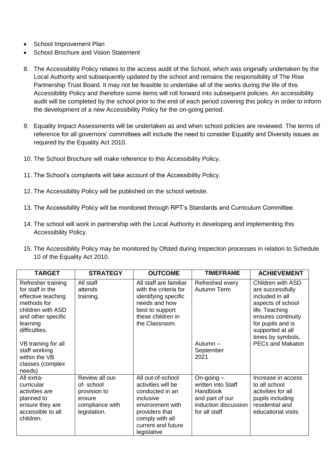- School Improvement Plan
- School Brochure and Vision Statement
- 8. The Accessibility Policy relates to the access audit of the School, which was originally undertaken by the Local Authority and subsequently updated by the school and remains the responsibility of The Rise Partnership Trust Board. It may not be feasible to undertake all of the works during the life of this Accessibility Policy and therefore some items will roll forward into subsequent policies. An accessibility audit will be completed by the school prior to the end of each period covering this policy in order to inform the development of a new Accessibility Policy for the on-going period.
- 9. Equality Impact Assessments will be undertaken as and when school policies are reviewed. The terms of reference for all governors' committees will include the need to consider Equality and Diversity issues as required by the Equality Act 2010.
- 10. The School Brochure will make reference to this Accessibility Policy.
- 11. The School's complaints will take account of the Accessibility Policy.
- 12. The Accessibility Policy will be published on the school website.
- 13. The Accessibility Policy will be monitored through RPT's Standards and Curriculum Committee.
- 14. The school will work in partnership with the Local Authority in developing and implementing this Accessibility Policy.
- 15. The Accessibility Policy may be monitored by Ofsted during Inspection processes in relation to Schedule 10 of the Equality Act 2010.

| <b>TARGET</b>                                                                                                                                                                                                                              | <b>STRATEGY</b>                                                                           | <b>OUTCOME</b>                                                                                                                                                        | <b>TIMEFRAME</b>                                                                                                  | <b>ACHIEVEMENT</b>                                                                                                                                                                                             |
|--------------------------------------------------------------------------------------------------------------------------------------------------------------------------------------------------------------------------------------------|-------------------------------------------------------------------------------------------|-----------------------------------------------------------------------------------------------------------------------------------------------------------------------|-------------------------------------------------------------------------------------------------------------------|----------------------------------------------------------------------------------------------------------------------------------------------------------------------------------------------------------------|
| Refresher training<br>for staff in the<br>effective teaching<br>methods for<br>children with ASD<br>and other specific<br>learning<br>difficulties.<br>VB training for all<br>staff working<br>within the VB<br>classes (complex<br>needs) | All staff<br>attends<br>training.                                                         | All staff are familiar<br>with the criteria for<br>identifying specific<br>needs and how<br>best to support<br>these children in<br>the Classroom.                    | Refreshed every<br>Autumn Term<br>Autumn -<br>September<br>2021                                                   | Children with ASD<br>are successfully<br>included in all<br>aspects of school<br>life. Teaching<br>ensures continuity<br>for pupils and is<br>supported at all<br>times by symbols,<br><b>PECs and Makaton</b> |
| All extra-<br>curricular<br>activities are<br>planned to<br>ensure they are<br>accessible to all<br>children.                                                                                                                              | Review all out-<br>of-school<br>provision to<br>ensure<br>compliance with<br>legislation. | All out-of-school<br>activities will be<br>conducted in an<br>inclusive<br>environment with<br>providers that<br>comply with all<br>current and future<br>legislative | On-going $-$<br>written into Staff<br><b>Handbook</b><br>and part of our<br>induction discussion<br>for all staff | Increase in access<br>to all school<br>activities for all<br>pupils including<br>residential and<br>educational visits                                                                                         |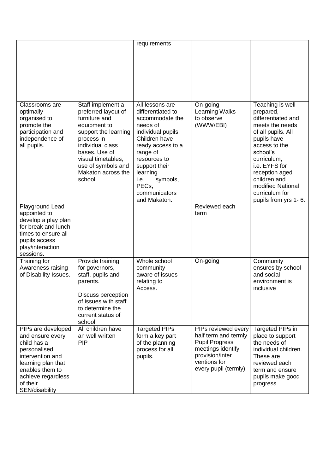|                                                                                                                                                                                        |                                                                                                                                                                                                                                   | requirements                                                                                                                                                                                                                                           |                                                                                                                                                      |                                                                                                                                                                                                                                                                           |
|----------------------------------------------------------------------------------------------------------------------------------------------------------------------------------------|-----------------------------------------------------------------------------------------------------------------------------------------------------------------------------------------------------------------------------------|--------------------------------------------------------------------------------------------------------------------------------------------------------------------------------------------------------------------------------------------------------|------------------------------------------------------------------------------------------------------------------------------------------------------|---------------------------------------------------------------------------------------------------------------------------------------------------------------------------------------------------------------------------------------------------------------------------|
| Classrooms are<br>optimally<br>organised to<br>promote the<br>participation and<br>independence of<br>all pupils.                                                                      | Staff implement a<br>preferred layout of<br>furniture and<br>equipment to<br>support the learning<br>process in<br>individual class<br>bases. Use of<br>visual timetables,<br>use of symbols and<br>Makaton across the<br>school. | All lessons are<br>differentiated to<br>accommodate the<br>needs of<br>individual pupils.<br>Children have<br>ready access to a<br>range of<br>resources to<br>support their<br>learning<br>i.e.<br>symbols,<br>PECs,<br>communicators<br>and Makaton. | On-going $-$<br>Learning Walks<br>to observe<br>(WWW/EBI)                                                                                            | Teaching is well<br>prepared,<br>differentiated and<br>meets the needs<br>of all pupils. All<br>pupils have<br>access to the<br>school's<br>curriculum,<br>i.e. EYFS for<br>reception aged<br>children and<br>modified National<br>curriculum for<br>pupils from yrs 1-6. |
| Playground Lead<br>appointed to<br>develop a play plan<br>for break and lunch<br>times to ensure all<br>pupils access<br>play/interaction<br>sessions.                                 |                                                                                                                                                                                                                                   |                                                                                                                                                                                                                                                        | Reviewed each<br>term                                                                                                                                |                                                                                                                                                                                                                                                                           |
| Training for<br>Awareness raising<br>of Disability Issues.                                                                                                                             | Provide training<br>for governors,<br>staff, pupils and<br>parents.<br>Discuss perception<br>of issues with staff<br>to determine the<br>current status of<br>school.                                                             | Whole school<br>community<br>aware of issues<br>relating to<br>Access.                                                                                                                                                                                 | On-going                                                                                                                                             | Community<br>ensures by school<br>and social<br>environment is<br>inclusive                                                                                                                                                                                               |
| PIPs are developed<br>and ensure every<br>child has a<br>personalised<br>intervention and<br>learning plan that<br>enables them to<br>achieve regardless<br>of their<br>SEN/disability | All children have<br>an well written<br><b>PIP</b>                                                                                                                                                                                | <b>Targeted PIPs</b><br>form a key part<br>of the planning<br>process for all<br>pupils.                                                                                                                                                               | PIPs reviewed every<br>half term and termly<br><b>Pupil Progress</b><br>meetings identify<br>provision/inter<br>ventions for<br>every pupil (termly) | Targeted PIPs in<br>place to support<br>the needs of<br>individual children.<br>These are<br>reviewed each<br>term and ensure<br>pupils make good<br>progress                                                                                                             |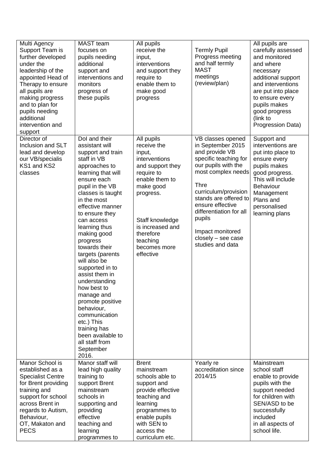| Multi Agency<br>Support Team is<br>further developed<br>under the<br>leadership of the<br>appointed Head of<br>Therapy to ensure<br>all pupils are<br>making progress<br>and to plan for<br>pupils needing<br>additional<br>intervention and<br>support | <b>MAST</b> team<br>focuses on<br>pupils needing<br>additional<br>support and<br>interventions and<br>monitors<br>progress of<br>these pupils                                                                                                                                                                                                                                                                                                                                                                                                                                              | All pupils<br>receive the<br>input,<br>interventions<br>and support they<br>require to<br>enable them to<br>make good<br>progress                                                                                                               | <b>Termly Pupil</b><br>Progress meeting<br>and half termly<br><b>MAST</b><br>meetings<br>(review/plan)                                                                                                                                                                                                                             | All pupils are<br>carefully assessed<br>and monitored<br>and where<br>necessary<br>additional support<br>and interventions<br>are put into place<br>to ensure every<br>pupils makes<br>good progress<br>(link to<br>Progression Data) |
|---------------------------------------------------------------------------------------------------------------------------------------------------------------------------------------------------------------------------------------------------------|--------------------------------------------------------------------------------------------------------------------------------------------------------------------------------------------------------------------------------------------------------------------------------------------------------------------------------------------------------------------------------------------------------------------------------------------------------------------------------------------------------------------------------------------------------------------------------------------|-------------------------------------------------------------------------------------------------------------------------------------------------------------------------------------------------------------------------------------------------|------------------------------------------------------------------------------------------------------------------------------------------------------------------------------------------------------------------------------------------------------------------------------------------------------------------------------------|---------------------------------------------------------------------------------------------------------------------------------------------------------------------------------------------------------------------------------------|
| Director of<br>Inclusion and SLT<br>lead and develop<br>our VB/specialis<br>KS1 and KS2<br>classes<br>Manor School is                                                                                                                                   | Dol and their<br>assistant will<br>support and train<br>staff in VB<br>approaches to<br>learning that will<br>ensure each<br>pupil in the VB<br>classes is taught<br>in the most<br>effective manner<br>to ensure they<br>can access<br>learning thus<br>making good<br>progress<br>towards their<br>targets (parents<br>will also be<br>supported in to<br>assist them in<br>understanding<br>how best to<br>manage and<br>promote positive<br>behaviour,<br>communication<br>etc.) This<br>training has<br>been available to<br>all staff from<br>September<br>2016.<br>Manor staff will | All pupils<br>receive the<br>input,<br>interventions<br>and support they<br>require to<br>enable them to<br>make good<br>progress.<br>Staff knowledge<br>is increased and<br>therefore<br>teaching<br>becomes more<br>effective<br><b>Brent</b> | VB classes opened<br>in September 2015<br>and provide VB<br>specific teaching for<br>our pupils with the<br>most complex needs<br><b>Thre</b><br>curriculum/provision<br>stands are offered to<br>ensure effective<br>differentiation for all<br>pupils<br>Impact monitored<br>closely - see case<br>studies and data<br>Yearly re | Support and<br>interventions are<br>put into place to<br>ensure every<br>pupils makes<br>good progress.<br>This will include<br>Behaviour<br>Management<br>Plans and<br>personalised<br>learning plans<br>Mainstream                  |
| established as a<br><b>Specialist Centre</b><br>for Brent providing<br>training and<br>support for school<br>across Brent in<br>regards to Autism,<br>Behaviour,<br>OT, Makaton and<br><b>PECS</b>                                                      | lead high quality<br>training to<br>support Brent<br>mainstream<br>schools in<br>supporting and<br>providing<br>effective<br>teaching and<br>learning<br>programmes to                                                                                                                                                                                                                                                                                                                                                                                                                     | mainstream<br>schools able to<br>support and<br>provide effective<br>teaching and<br>learning<br>programmes to<br>enable pupils<br>with SEN to<br>access the<br>curriculum etc.                                                                 | accreditation since<br>2014/15                                                                                                                                                                                                                                                                                                     | school staff<br>enable to provide<br>pupils with the<br>support needed<br>for children with<br>SEN/ASD to be<br>successfully<br>included<br>in all aspects of<br>school life.                                                         |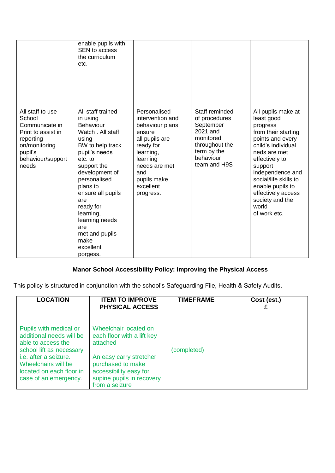|                                                                                                                                           | enable pupils with<br>SEN to access<br>the curriculum<br>etc.                                                                                                                                                                                                                                                                  |                                                                                                                                                                                        |                                                                                                                                     |                                                                                                                                                                                                                                                                                               |
|-------------------------------------------------------------------------------------------------------------------------------------------|--------------------------------------------------------------------------------------------------------------------------------------------------------------------------------------------------------------------------------------------------------------------------------------------------------------------------------|----------------------------------------------------------------------------------------------------------------------------------------------------------------------------------------|-------------------------------------------------------------------------------------------------------------------------------------|-----------------------------------------------------------------------------------------------------------------------------------------------------------------------------------------------------------------------------------------------------------------------------------------------|
| All staff to use<br>School<br>Communicate in<br>Print to assist in<br>reporting<br>on/monitoring<br>pupil's<br>behaviour/support<br>needs | All staff trained<br>in using<br><b>Behaviour</b><br>Watch . All staff<br>using<br>BW to help track<br>pupil's needs<br>etc. to<br>support the<br>development of<br>personalised<br>plans to<br>ensure all pupils<br>are<br>ready for<br>learning,<br>learning needs<br>are<br>met and pupils<br>make<br>excellent<br>porgess. | Personalised<br>intervention and<br>behaviour plans<br>ensure<br>all pupils are<br>ready for<br>learning,<br>learning<br>needs are met<br>and<br>pupils make<br>excellent<br>progress. | Staff reminded<br>of procedures<br>September<br>2021 and<br>monitored<br>throughout the<br>term by the<br>behaviour<br>team and H9S | All pupils make at<br>least good<br>progress<br>from their starting<br>points and every<br>child's individual<br>neds are met<br>effectively to<br>support<br>independence and<br>social/life skills to<br>enable pupils to<br>effectively access<br>society and the<br>world<br>of work etc. |

## **Manor School Accessibility Policy: Improving the Physical Access**

This policy is structured in conjunction with the school's Safeguarding File, Health & Safety Audits.

| <b>LOCATION</b>                                                                                                                                                                                                  | <b>ITEM TO IMPROVE</b><br><b>PHYSICAL ACCESS</b>                                                                                                                                         | <b>TIMEFRAME</b> | Cost (est.) |
|------------------------------------------------------------------------------------------------------------------------------------------------------------------------------------------------------------------|------------------------------------------------------------------------------------------------------------------------------------------------------------------------------------------|------------------|-------------|
| Pupils with medical or<br>additional needs will be<br>able to access the<br>school lift as necessary<br><i>i.e.</i> after a seizure.<br>Wheelchairs will be<br>located on each floor in<br>case of an emergency. | Wheelchair located on<br>each floor with a lift key<br>attached<br>An easy carry stretcher<br>purchased to make<br>accessibility easy for<br>supine pupils in recovery<br>from a seizure | (completed)      |             |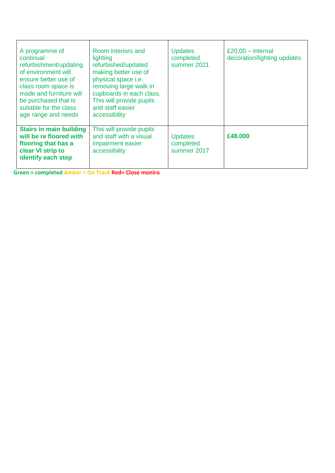| A programme of<br>continual<br>refurbishment/updating<br>of environment will<br>ensure better use of<br>class room space is<br>made and furniture will<br>be purchased that is<br>suitable for the class<br>age range and needs | Room interiors and<br>lighting<br>refurbished/updated<br>making better use of<br>physical space i.e.<br>removing large walk in<br>cupboards in each class.<br>This will provide pupils<br>and staff easier<br>accessibility | <b>Updates</b><br>completed<br>summer 2021 | $£20,00 - internal$<br>decoration/lighting updates |
|---------------------------------------------------------------------------------------------------------------------------------------------------------------------------------------------------------------------------------|-----------------------------------------------------------------------------------------------------------------------------------------------------------------------------------------------------------------------------|--------------------------------------------|----------------------------------------------------|
| <b>Stairs in main building</b><br>will be re floored with<br>flooring that has a<br>clear VI strip to<br>identify each step                                                                                                     | This will provide pupils<br>and staff with a visual<br>impairment easier<br>accessibility                                                                                                                                   | <b>Updates</b><br>completed<br>summer 2017 | £48,000                                            |

**Green = completed Amber = On Track Red= Close moniro**